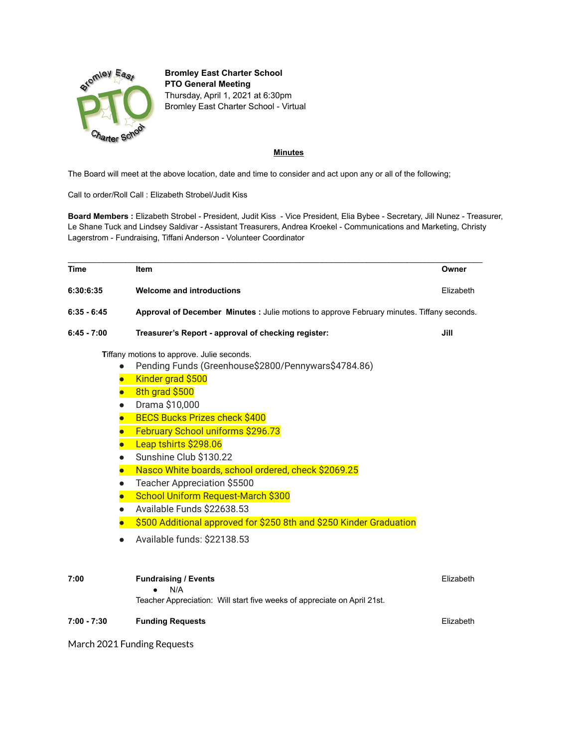

**Bromley East Charter School PTO General Meeting** Thursday, April 1, 2021 at 6:30pm Bromley East Charter School - Virtual

## **Minutes**

The Board will meet at the above location, date and time to consider and act upon any or all of the following;

Call to order/Roll Call : Elizabeth Strobel/Judit Kiss

**Board Members :** Elizabeth Strobel - President, Judit Kiss - Vice President, Elia Bybee - Secretary, Jill Nunez - Treasurer, Le Shane Tuck and Lindsey Saldivar - Assistant Treasurers, Andrea Kroekel - Communications and Marketing, Christy Lagerstrom - Fundraising, Tiffani Anderson - Volunteer Coordinator

| <b>Time</b>   | Item                                                                                       | Owner     |
|---------------|--------------------------------------------------------------------------------------------|-----------|
| 6:30:6:35     | <b>Welcome and introductions</b>                                                           | Elizabeth |
| $6:35 - 6:45$ | Approval of December Minutes : Julie motions to approve February minutes. Tiffany seconds. |           |
| $6:45 - 7:00$ | Treasurer's Report - approval of checking register:                                        | Jill      |
|               | Tiffany motions to approve. Julie seconds.                                                 |           |
|               | Pending Funds (Greenhouse\$2800/Pennywars\$4784.86)                                        |           |
|               | Kinder grad \$500<br>$\bullet$                                                             |           |
|               | 8th grad \$500<br>$\bullet$                                                                |           |
|               | Drama \$10,000<br>$\bullet$                                                                |           |
|               | <b>BECS Bucks Prizes check \$400</b><br>$\bullet$                                          |           |
|               | February School uniforms \$296.73<br>$\bullet$                                             |           |
|               | Leap tshirts \$298.06                                                                      |           |
|               | Sunshine Club \$130.22<br>$\bullet$                                                        |           |
|               | Nasco White boards, school ordered, check \$2069.25<br>$\bullet$                           |           |
|               | <b>Teacher Appreciation \$5500</b><br>$\bullet$                                            |           |
|               | School Uniform Request-March \$300<br>$\bullet$                                            |           |
|               | Available Funds \$22638.53<br>$\bullet$                                                    |           |
|               | \$500 Additional approved for \$250 8th and \$250 Kinder Graduation                        |           |
|               | Available funds: \$22138.53                                                                |           |
|               |                                                                                            |           |
| 7:00          | <b>Fundraising / Events</b><br>N/A                                                         | Elizabeth |
|               | Teacher Appreciation: Will start five weeks of appreciate on April 21st.                   |           |
| $7:00 - 7:30$ | <b>Funding Requests</b>                                                                    | Elizabeth |

March 2021 Funding Requests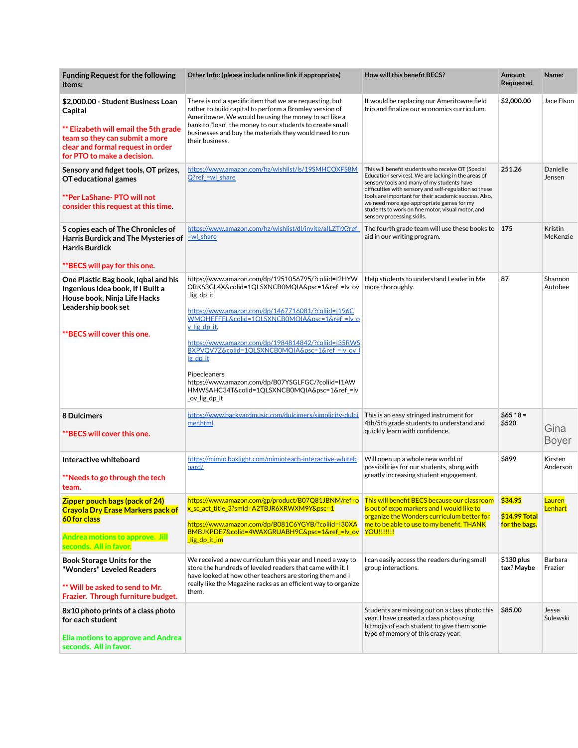| <b>Funding Request for the following</b><br>items:                                                                                                                                           | Other Info: (please include online link if appropriate)                                                                                                                                                                                                                                                                                                                                                                                                                                               | How will this benefit BECS?                                                                                                                                                                                                                                                                                                                                                                                | Amount<br>Requested                       | Name:                    |
|----------------------------------------------------------------------------------------------------------------------------------------------------------------------------------------------|-------------------------------------------------------------------------------------------------------------------------------------------------------------------------------------------------------------------------------------------------------------------------------------------------------------------------------------------------------------------------------------------------------------------------------------------------------------------------------------------------------|------------------------------------------------------------------------------------------------------------------------------------------------------------------------------------------------------------------------------------------------------------------------------------------------------------------------------------------------------------------------------------------------------------|-------------------------------------------|--------------------------|
| \$2,000.00 - Student Business Loan<br>Capital<br>** Elizabeth will email the 5th grade<br>team so they can submit a more<br>clear and formal request in order<br>for PTO to make a decision. | There is not a specific item that we are requesting, but<br>rather to build capital to perform a Bromley version of<br>Ameritowne. We would be using the money to act like a<br>bank to "loan" the money to our students to create small<br>businesses and buy the materials they would need to run<br>their business.                                                                                                                                                                                | It would be replacing our Ameritowne field<br>trip and finalize our economics curriculum.                                                                                                                                                                                                                                                                                                                  | \$2,000.00                                | Jace Elson               |
| Sensory and fidget tools, OT prizes,<br>OT educational games<br>**Per LaShane- PTO will not<br>consider this request at this time.                                                           | https://www.amazon.com/hz/wishlist/ls/19SMHCOXFS8M<br>$Q$ ?ref =wl share                                                                                                                                                                                                                                                                                                                                                                                                                              | This will benefit students who receive OT (Special<br>Education services). We are lacking in the areas of<br>sensory tools and many of my students have<br>difficulties with sensory and self-regulation so these<br>tools are important for their academic success. Also,<br>we need more age-appropriate games for my<br>students to work on fine motor, visual motor, and<br>sensory processing skills. | 251.26                                    | Danielle<br>Jensen       |
| 5 copies each of The Chronicles of<br>Harris Burdick and The Mysteries of<br><b>Harris Burdick</b><br>**BECS will pay for this one.                                                          | https://www.amazon.com/hz/wishlist/dl/invite/alLZTrX?ref<br>$=$ wl share                                                                                                                                                                                                                                                                                                                                                                                                                              | The fourth grade team will use these books to<br>aid in our writing program.                                                                                                                                                                                                                                                                                                                               | 175                                       | Kristin<br>McKenzie      |
| One Plastic Bag book, Igbal and his<br>Ingenious Idea book, If I Built a<br>House book, Ninja Life Hacks<br>Leadership book set<br>**BECS will cover this one.                               | https://www.amazon.com/dp/1951056795/?coliid=I2HYW<br>ORKS3GL4X&colid=1QLSXNCB0MQIA&psc=1&ref_=lv_ov<br>_lig_dp_it<br>https://www.amazon.com/dp/1467716081/?coliid=1196C<br>WMOHEFFEL&colid=1OLSXNCB0MOIA&psc=1&ref =ly o<br>v lig dp it.<br>https://www.amazon.com/dp/1984814842/?coliid=I35RWS<br>BXPVOV7Z&colid=1QLSXNCB0MQIA&psc=1&ref =lv ov  <br>ig dp it<br>Pipecleaners<br>https://www.amazon.com/dp/B07YSGLFGC/?coliid=I1AW<br>HMWSAHC34T&colid=1QLSXNCB0MQIA&psc=1&ref_=lv<br>_ov_lig_dp_it | Help students to understand Leader in Me<br>more thoroughly.                                                                                                                                                                                                                                                                                                                                               | 87                                        | Shannon<br>Autobee       |
| 8 Dulcimers<br>**BECS will cover this one.                                                                                                                                                   | https://www.backvardmusic.com/dulcimers/simplicity-dulci<br>mer.html                                                                                                                                                                                                                                                                                                                                                                                                                                  | This is an easy stringed instrument for<br>4th/5th grade students to understand and<br>quickly learn with confidence.                                                                                                                                                                                                                                                                                      | $$65 * 8 =$<br>\$520                      | Gina<br><b>Boyer</b>     |
| Interactive whiteboard<br>**Needs to go through the tech<br>team.                                                                                                                            | https://mimio.boxlight.com/mimioteach-interactive-whiteb<br>oard/                                                                                                                                                                                                                                                                                                                                                                                                                                     | Will open up a whole new world of<br>possibilities for our students, along with<br>greatly increasing student engagement.                                                                                                                                                                                                                                                                                  | \$899                                     | Kirsten<br>Anderson      |
| <b>Zipper pouch bags (pack of 24)</b><br><b>Crayola Dry Erase Markers pack of</b><br>60 for class<br><b>Andrea motions to approve. Jill</b><br>seconds. All in favor.                        | https://www.amazon.com/gp/product/B07Q81JBNM/ref=o<br>x sc act title 3?smid=A2TBJR6XRWXM9Y&psc=1<br>https://www.amazon.com/dp/B081C6YGYB/?coliid=I30XA<br>BMBJKPDE7&colid=4WAXGRUABH9C&psc=1&ref_=lv_ov<br>lig_dp_it_im                                                                                                                                                                                                                                                                               | This will benefit BECS because our classroom<br>is out of expo markers and I would like to<br>organize the Wonders curriculum better for<br>me to be able to use to my benefit. THANK<br><u>YOU!!!!!!!</u>                                                                                                                                                                                                 | \$34.95<br>\$14.99 Total<br>for the bags. | <b>Lauren</b><br>Lenhart |
| <b>Book Storage Units for the</b><br>"Wonders" Leveled Readers<br>** Will be asked to send to Mr.<br>Frazier. Through furniture budget.                                                      | We received a new curriculum this year and I need a way to<br>store the hundreds of leveled readers that came with it. I<br>have looked at how other teachers are storing them and I<br>really like the Magazine racks as an efficient way to organize<br>them.                                                                                                                                                                                                                                       | I can easily access the readers during small<br>group interactions.                                                                                                                                                                                                                                                                                                                                        | \$130 plus<br>tax? Maybe                  | Barbara<br>Frazier       |
| 8x10 photo prints of a class photo<br>for each student<br>Elia motions to approve and Andrea<br>seconds. All in favor.                                                                       |                                                                                                                                                                                                                                                                                                                                                                                                                                                                                                       | Students are missing out on a class photo this<br>year. I have created a class photo using<br>bitmojis of each student to give them some<br>type of memory of this crazy year.                                                                                                                                                                                                                             | \$85.00                                   | Jesse<br>Sulewski        |